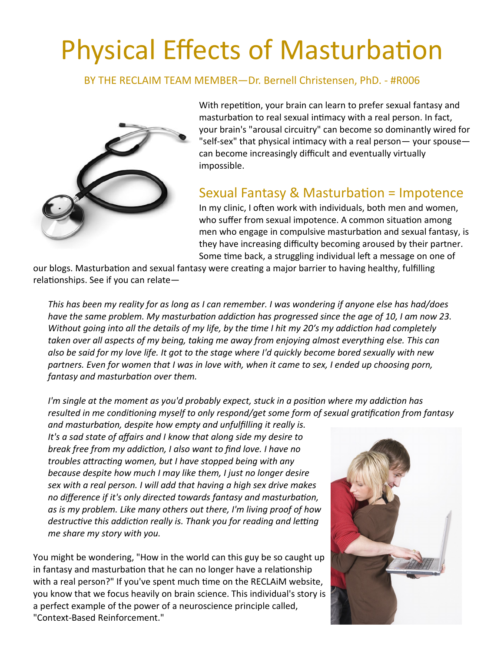## Physical Effects of Masturbation

BY THE RECLAIM TEAM MEMBER—Dr. Bernell Christensen, PhD. - #R006



With repetition, your brain can learn to prefer sexual fantasy and masturbation to real sexual intimacy with a real person. In fact, your brain's "arousal circuitry" can become so dominantly wired for "self-sex" that physical intimacy with a real person— your spouse can become increasingly difficult and eventually virtually impossible.

## Sexual Fantasy & Masturbation = Impotence

In my clinic, I often work with individuals, both men and women, who suffer from sexual impotence. A common situation among men who engage in compulsive masturbation and sexual fantasy, is they have increasing difficulty becoming aroused by their partner. Some time back, a struggling individual left a message on one of

our blogs. Masturbation and sexual fantasy were creating a major barrier to having healthy, fulfilling relationships. See if you can relate—

*This has been my reality for as long as I can remember. I was wondering if anyone else has had/does have the same problem. My masturbation addiction has progressed since the age of 10, I am now 23. Without going into all the details of my life, by the time I hit my 20′s my addiction had completely taken over all aspects of my being, taking me away from enjoying almost everything else. This can also be said for my love life. It got to the stage where I'd quickly become bored sexually with new partners. Even for women that I was in love with, when it came to sex, I ended up choosing porn, fantasy and masturbation over them.*

*I'm single at the moment as you'd probably expect, stuck in a position where my addiction has resulted in me conditioning myself to only respond/get some form of sexual gratification from fantasy* 

*and masturbation, despite how empty and unfulfilling it really is. It's a sad state of affairs and I know that along side my desire to break free from my addiction, I also want to find love. I have no troubles attracting women, but I have stopped being with any because despite how much I may like them, I just no longer desire sex with a real person. I will add that having a high sex drive makes no difference if it's only directed towards fantasy and masturbation, as is my problem. Like many others out there, I'm living proof of how destructive this addiction really is. Thank you for reading and letting me share my story with you.*

You might be wondering, "How in the world can this guy be so caught up in fantasy and masturbation that he can no longer have a relationship with a real person?" If you've spent much time on the RECLAiM website, you know that we focus heavily on brain science. This individual's story is a perfect example of the power of a neuroscience principle called, "Context-Based Reinforcement."